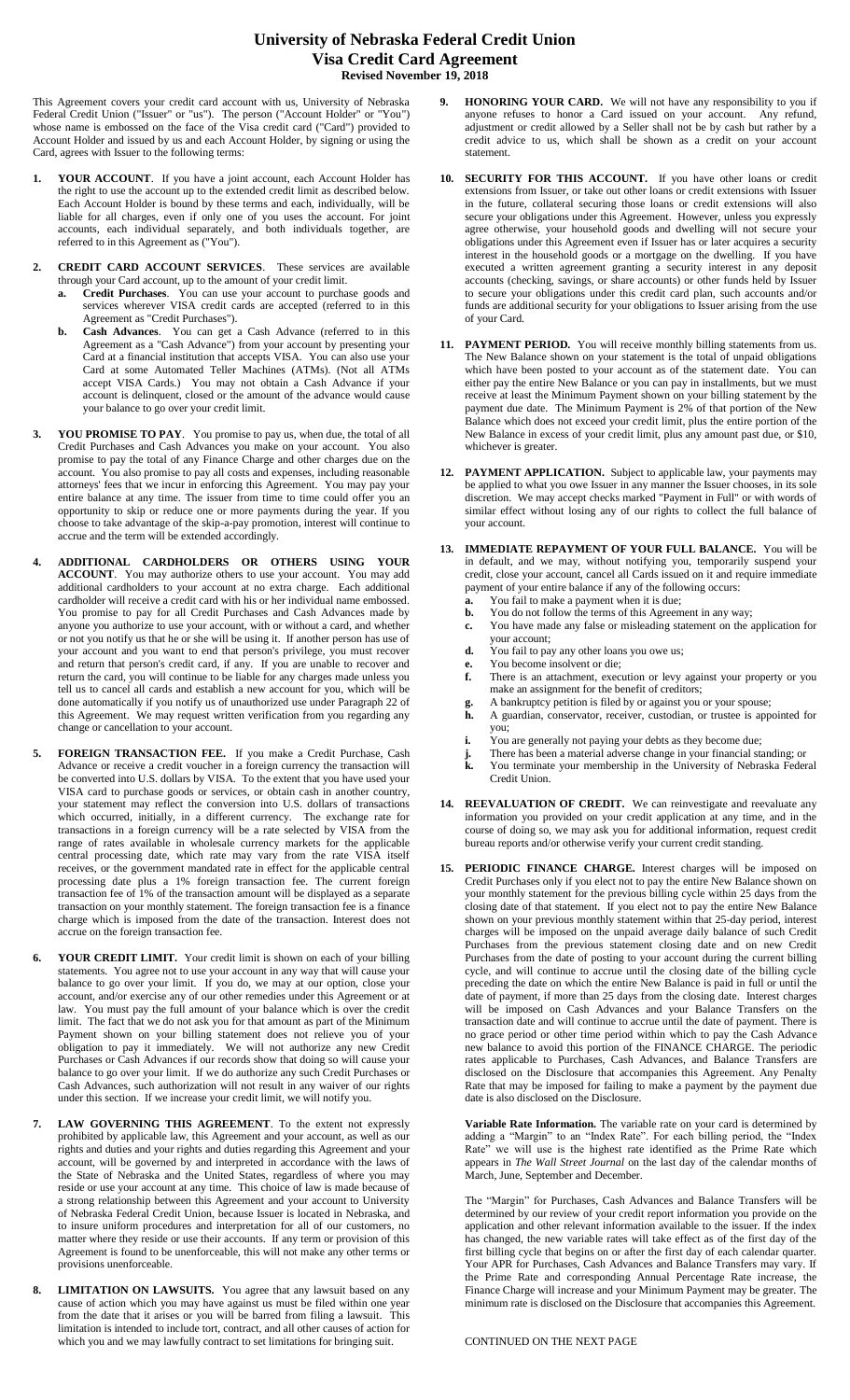## **University of Nebraska Federal Credit Union Visa Credit Card Agreement Revised November 19, 2018**

This Agreement covers your credit card account with us, University of Nebraska Federal Credit Union ("Issuer" or "us"). The person ("Account Holder" or "You") whose name is embossed on the face of the Visa credit card ("Card") provided to Account Holder and issued by us and each Account Holder, by signing or using the Card, agrees with Issuer to the following terms:

- **1. YOUR ACCOUNT**. If you have a joint account, each Account Holder has the right to use the account up to the extended credit limit as described below. Each Account Holder is bound by these terms and each, individually, will be liable for all charges, even if only one of you uses the account. For joint accounts, each individual separately, and both individuals together, are referred to in this Agreement as ("You").
- **2. CREDIT CARD ACCOUNT SERVICES**. These services are available through your Card account, up to the amount of your credit limit.
	- **a. Credit Purchases**. You can use your account to purchase goods and services wherever VISA credit cards are accepted (referred to in this Agreement as "Credit Purchases").
	- **b. Cash Advances**. You can get a Cash Advance (referred to in this Agreement as a "Cash Advance") from your account by presenting your Card at a financial institution that accepts VISA. You can also use your Card at some Automated Teller Machines (ATMs). (Not all ATMs accept VISA Cards.) You may not obtain a Cash Advance if your account is delinquent, closed or the amount of the advance would cause your balance to go over your credit limit.
- **3. YOU PROMISE TO PAY**. You promise to pay us, when due, the total of all Credit Purchases and Cash Advances you make on your account. You also promise to pay the total of any Finance Charge and other charges due on the account. You also promise to pay all costs and expenses, including reasonable attorneys' fees that we incur in enforcing this Agreement. You may pay your entire balance at any time. The issuer from time to time could offer you an opportunity to skip or reduce one or more payments during the year. If you choose to take advantage of the skip-a-pay promotion, interest will continue to accrue and the term will be extended accordingly.
- **4. ADDITIONAL CARDHOLDERS OR OTHERS USING YOUR ACCOUNT**. You may authorize others to use your account. You may add additional cardholders to your account at no extra charge. Each additional cardholder will receive a credit card with his or her individual name embossed. You promise to pay for all Credit Purchases and Cash Advances made by anyone you authorize to use your account, with or without a card, and whether or not you notify us that he or she will be using it. If another person has use of your account and you want to end that person's privilege, you must recover and return that person's credit card, if any. If you are unable to recover and return the card, you will continue to be liable for any charges made unless you tell us to cancel all cards and establish a new account for you, which will be done automatically if you notify us of unauthorized use under Paragraph 22 of this Agreement. We may request written verification from you regarding any change or cancellation to your account.
- **5. FOREIGN TRANSACTION FEE.** If you make a Credit Purchase, Cash Advance or receive a credit voucher in a foreign currency the transaction will be converted into U.S. dollars by VISA. To the extent that you have used your VISA card to purchase goods or services, or obtain cash in another country, your statement may reflect the conversion into U.S. dollars of transactions which occurred, initially, in a different currency. The exchange rate for transactions in a foreign currency will be a rate selected by VISA from the range of rates available in wholesale currency markets for the applicable central processing date, which rate may vary from the rate VISA itself receives, or the government mandated rate in effect for the applicable central processing date plus a 1% foreign transaction fee. The current foreign transaction fee of 1% of the transaction amount will be displayed as a separate transaction on your monthly statement. The foreign transaction fee is a finance charge which is imposed from the date of the transaction. Interest does not accrue on the foreign transaction fee.
- **6. YOUR CREDIT LIMIT.** Your credit limit is shown on each of your billing statements. You agree not to use your account in any way that will cause your balance to go over your limit. If you do, we may at our option, close your account, and/or exercise any of our other remedies under this Agreement or at law. You must pay the full amount of your balance which is over the credit limit. The fact that we do not ask you for that amount as part of the Minimum Payment shown on your billing statement does not relieve you of your obligation to pay it immediately. We will not authorize any new Credit Purchases or Cash Advances if our records show that doing so will cause your balance to go over your limit. If we do authorize any such Credit Purchases or Cash Advances, such authorization will not result in any waiver of our rights under this section. If we increase your credit limit, we will notify you.
- **7. LAW GOVERNING THIS AGREEMENT**. To the extent not expressly prohibited by applicable law, this Agreement and your account, as well as our rights and duties and your rights and duties regarding this Agreement and your account, will be governed by and interpreted in accordance with the laws of the State of Nebraska and the United States, regardless of where you may reside or use your account at any time. This choice of law is made because of a strong relationship between this Agreement and your account to University of Nebraska Federal Credit Union, because Issuer is located in Nebraska, and to insure uniform procedures and interpretation for all of our customers, no matter where they reside or use their accounts. If any term or provision of this Agreement is found to be unenforceable, this will not make any other terms or provisions unenforceable.
- **8. LIMITATION ON LAWSUITS.** You agree that any lawsuit based on any cause of action which you may have against us must be filed within one year from the date that it arises or you will be barred from filing a lawsuit. This limitation is intended to include tort, contract, and all other causes of action for which you and we may lawfully contract to set limitations for bringing suit.
- **9. HONORING YOUR CARD.** We will not have any responsibility to you if anyone refuses to honor a Card issued on your account. Any refund, adjustment or credit allowed by a Seller shall not be by cash but rather by a credit advice to us, which shall be shown as a credit on your account statement.
- **10. SECURITY FOR THIS ACCOUNT.** If you have other loans or credit extensions from Issuer, or take out other loans or credit extensions with Issuer in the future, collateral securing those loans or credit extensions will also secure your obligations under this Agreement. However, unless you expressly agree otherwise, your household goods and dwelling will not secure your obligations under this Agreement even if Issuer has or later acquires a security interest in the household goods or a mortgage on the dwelling. If you have executed a written agreement granting a security interest in any deposit accounts (checking, savings, or share accounts) or other funds held by Issuer to secure your obligations under this credit card plan, such accounts and/or funds are additional security for your obligations to Issuer arising from the use of your Card.
- **11. PAYMENT PERIOD.** You will receive monthly billing statements from us. The New Balance shown on your statement is the total of unpaid obligations which have been posted to your account as of the statement date. You can either pay the entire New Balance or you can pay in installments, but we must receive at least the Minimum Payment shown on your billing statement by the payment due date. The Minimum Payment is 2% of that portion of the New Balance which does not exceed your credit limit, plus the entire portion of the New Balance in excess of your credit limit, plus any amount past due, or \$10, whichever is greater.
- **12. PAYMENT APPLICATION.** Subject to applicable law, your payments may be applied to what you owe Issuer in any manner the Issuer chooses, in its sole discretion. We may accept checks marked "Payment in Full" or with words of similar effect without losing any of our rights to collect the full balance of your account.
- **13. IMMEDIATE REPAYMENT OF YOUR FULL BALANCE.** You will be in default, and we may, without notifying you, temporarily suspend your credit, close your account, cancel all Cards issued on it and require immediate payment of your entire balance if any of the following occurs:
	- **a.** You fail to make a payment when it is due;
	- **b.** You do not follow the terms of this Agreement in any way; **c.** You have made any false or misleading statement on the application for
	- your account;
	- **d.** You fail to pay any other loans you owe us;
	- **e.** You become insolvent or die;<br>**f.** There is an attachment, exect **f.** There is an attachment, execution or levy against your property or you make an assignment for the benefit of creditors;
	- **g.** A bankruptcy petition is filed by or against you or your spouse;<br> **h.** A guardian, conservator, receiver, custodian, or trustee is app **h.** A guardian, conservator, receiver, custodian, or trustee is appointed for you;
	-
	- **i.** You are generally not paying your debts as they become due;<br> **j.** There has been a material adverse change in your financial st<br> **k.** You terminate your membership in the University of Nebra **j.** There has been a material adverse change in your financial standing; or
	- **k.** You terminate your membership in the University of Nebraska Federal Credit Union.
- **14. REEVALUATION OF CREDIT.** We can reinvestigate and reevaluate any information you provided on your credit application at any time, and in the course of doing so, we may ask you for additional information, request credit bureau reports and/or otherwise verify your current credit standing.
- **15. PERIODIC FINANCE CHARGE.** Interest charges will be imposed on Credit Purchases only if you elect not to pay the entire New Balance shown on your monthly statement for the previous billing cycle within 25 days from the closing date of that statement. If you elect not to pay the entire New Balance shown on your previous monthly statement within that 25-day period, interest charges will be imposed on the unpaid average daily balance of such Credit Purchases from the previous statement closing date and on new Credit Purchases from the date of posting to your account during the current billing cycle, and will continue to accrue until the closing date of the billing cycle preceding the date on which the entire New Balance is paid in full or until the date of payment, if more than 25 days from the closing date. Interest charges will be imposed on Cash Advances and your Balance Transfers on the transaction date and will continue to accrue until the date of payment. There is no grace period or other time period within which to pay the Cash Advance new balance to avoid this portion of the FINANCE CHARGE. The periodic rates applicable to Purchases, Cash Advances, and Balance Transfers are disclosed on the Disclosure that accompanies this Agreement. Any Penalty Rate that may be imposed for failing to make a payment by the payment due date is also disclosed on the Disclosure.

**Variable Rate Information.** The variable rate on your card is determined by adding a "Margin" to an "Index Rate". For each billing period, the "Index Rate" we will use is the highest rate identified as the Prime Rate which appears in *The Wall Street Journal* on the last day of the calendar months of March, June, September and December.

The "Margin" for Purchases, Cash Advances and Balance Transfers will be determined by our review of your credit report information you provide on the application and other relevant information available to the issuer. If the index has changed, the new variable rates will take effect as of the first day of the first billing cycle that begins on or after the first day of each calendar quarter. Your APR for Purchases, Cash Advances and Balance Transfers may vary. If the Prime Rate and corresponding Annual Percentage Rate increase, the Finance Charge will increase and your Minimum Payment may be greater. The minimum rate is disclosed on the Disclosure that accompanies this Agreement.

CONTINUED ON THE NEXT PAGE